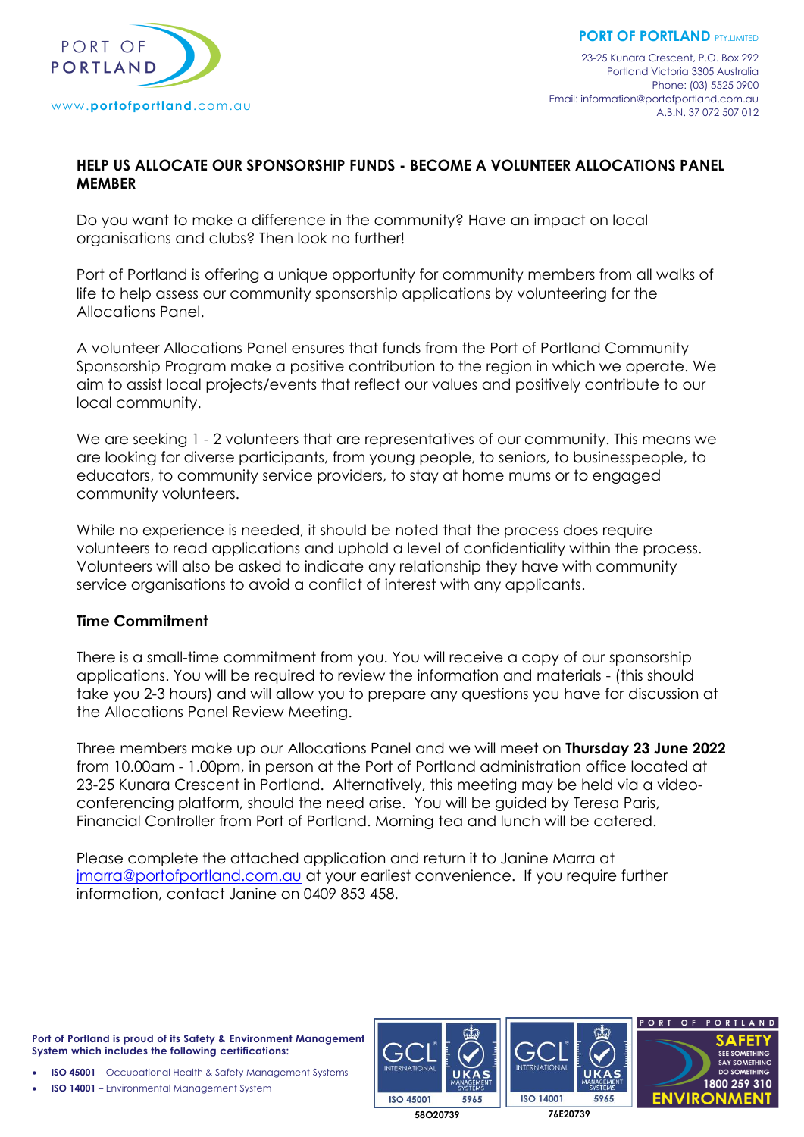

## **HELP US ALLOCATE OUR SPONSORSHIP FUNDS - BECOME A VOLUNTEER ALLOCATIONS PANEL MEMBER**

Do you want to make a difference in the community? Have an impact on local organisations and clubs? Then look no further!

Port of Portland is offering a unique opportunity for community members from all walks of life to help assess our community sponsorship applications by volunteering for the Allocations Panel.

A volunteer Allocations Panel ensures that funds from the Port of Portland Community Sponsorship Program make a positive contribution to the region in which we operate. We aim to assist local projects/events that reflect our values and positively contribute to our local community.

We are seeking 1 - 2 volunteers that are representatives of our community. This means we are looking for diverse participants, from young people, to seniors, to businesspeople, to educators, to community service providers, to stay at home mums or to engaged community volunteers.

While no experience is needed, it should be noted that the process does require volunteers to read applications and uphold a level of confidentiality within the process. Volunteers will also be asked to indicate any relationship they have with community service organisations to avoid a conflict of interest with any applicants.

## **Time Commitment**

There is a small-time commitment from you. You will receive a copy of our sponsorship applications. You will be required to review the information and materials - (this should take you 2-3 hours) and will allow you to prepare any questions you have for discussion at the Allocations Panel Review Meeting.

Three members make up our Allocations Panel and we will meet on **Thursday 23 June 2022** from 10.00am - 1.00pm, in person at the Port of Portland administration office located at 23-25 Kunara Crescent in Portland. Alternatively, this meeting may be held via a videoconferencing platform, should the need arise. You will be guided by Teresa Paris, Financial Controller from Port of Portland. Morning tea and lunch will be catered.

Please complete the attached application and return it to Janine Marra at [jmarra@portofportland.com.au](mailto:jmarra@portofportland.com.au) at your earliest convenience. If you require further information, contact Janine on 0409 853 458.

**Port of Portland is proud of its Safety & Environment Management System which includes the following certifications:**

• **ISO 45001** – Occupational Health & Safety Management Systems

• **ISO 14001** – Environmental Management System